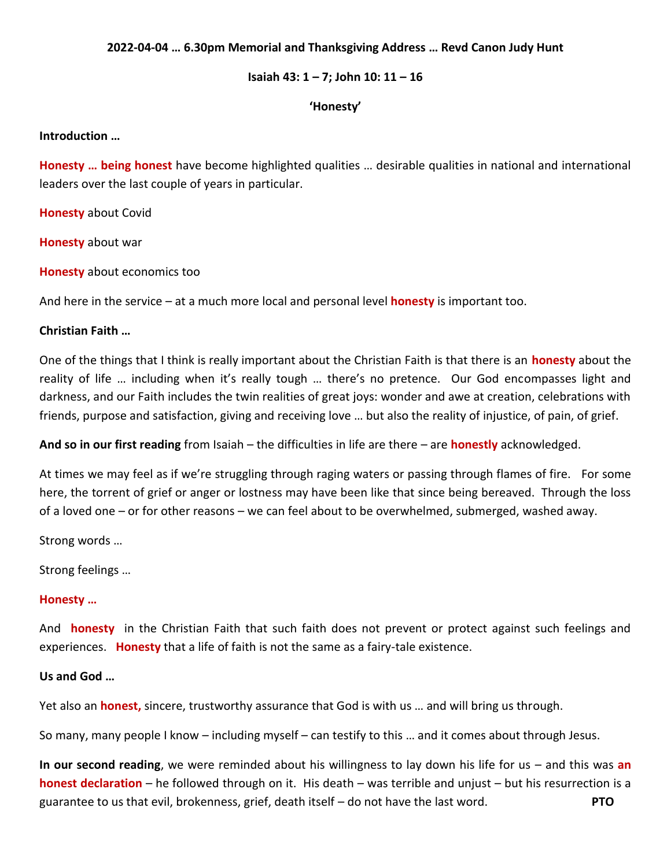## **2022-04-04 … 6.30pm Memorial and Thanksgiving Address … Revd Canon Judy Hunt**

### **Isaiah 43: 1 – 7; John 10: 11 – 16**

### **'Honesty'**

#### **Introduction …**

**Honesty … being honest** have become highlighted qualities … desirable qualities in national and international leaders over the last couple of years in particular.

**Honesty** about Covid

**Honesty** about war

**Honesty** about economics too

And here in the service – at a much more local and personal level **honesty** is important too.

# **Christian Faith …**

One of the things that I think is really important about the Christian Faith is that there is an **honesty** about the reality of life … including when it's really tough … there's no pretence. Our God encompasses light and darkness, and our Faith includes the twin realities of great joys: wonder and awe at creation, celebrations with friends, purpose and satisfaction, giving and receiving love … but also the reality of injustice, of pain, of grief.

**And so in our first reading** from Isaiah – the difficulties in life are there – are **honestly** acknowledged.

At times we may feel as if we're struggling through raging waters or passing through flames of fire. For some here, the torrent of grief or anger or lostness may have been like that since being bereaved. Through the loss of a loved one – or for other reasons – we can feel about to be overwhelmed, submerged, washed away.

Strong words …

Strong feelings …

### **Honesty …**

And **honesty** in the Christian Faith that such faith does not prevent or protect against such feelings and experiences. **Honesty** that a life of faith is not the same as a fairy-tale existence.

## **Us and God …**

Yet also an **honest,** sincere, trustworthy assurance that God is with us … and will bring us through.

So many, many people I know – including myself – can testify to this … and it comes about through Jesus.

**In our second reading**, we were reminded about his willingness to lay down his life for us – and this was **an honest declaration** – he followed through on it. His death – was terrible and unjust – but his resurrection is a guarantee to us that evil, brokenness, grief, death itself – do not have the last word. **PTO**